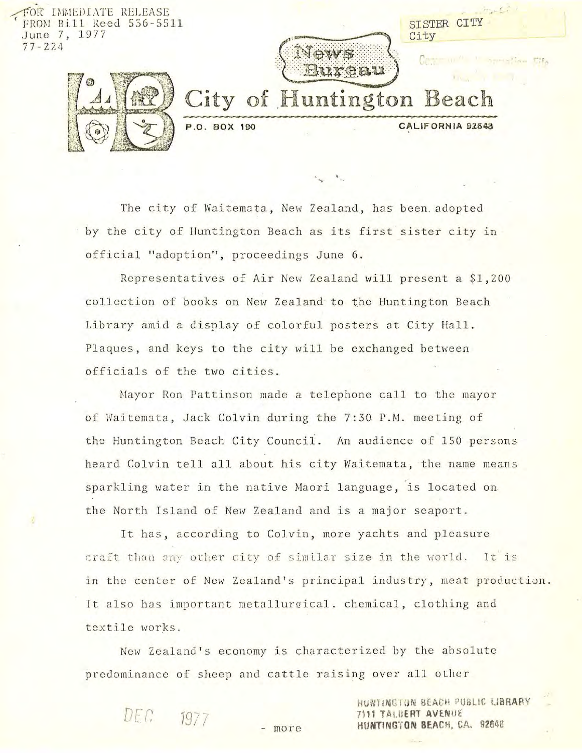

The city of Waitemata, New Zealand, has been adopted by the city of Huntington Beach as its first sister city in official "adoption", proceedings June 6.

Representatives of Air New Zealand will present a \$1,200 collection of books on New Zealand to the Huntington Beach Library amid a display of colorful posters at City Hall. Plaques, and keys to the city will be exchanged between officials of the two cities.

Mayor Ron Pattinson made a telephone call to the mayor of Waitemata, Jack Colvin during the 7:30 P.M. meeting of the Huntington Beach City Council. An audience of 150 persons heard Colvin tell all about his city Waitemata, the name means sparkling water in the native Maori language, is located on the North Island of New Zealand and is a major seaport.

It has, according to Colvin, more yachts and pleasure craft than any other city of similar size in the world. It is in the center of New Zealand's principal industry, meat production. It also has important metallurgical. chemical, clothing and textile works.

New Zealand's economy is characterized by the absolute predominance of sheep and cattle raising over all other

> HUNTINGTON BEACH PUBLIC LIBRARY **7111 TALBERT AVENUE** HUNTINGTON BEACH, CA. 92848

- more

DEC 1977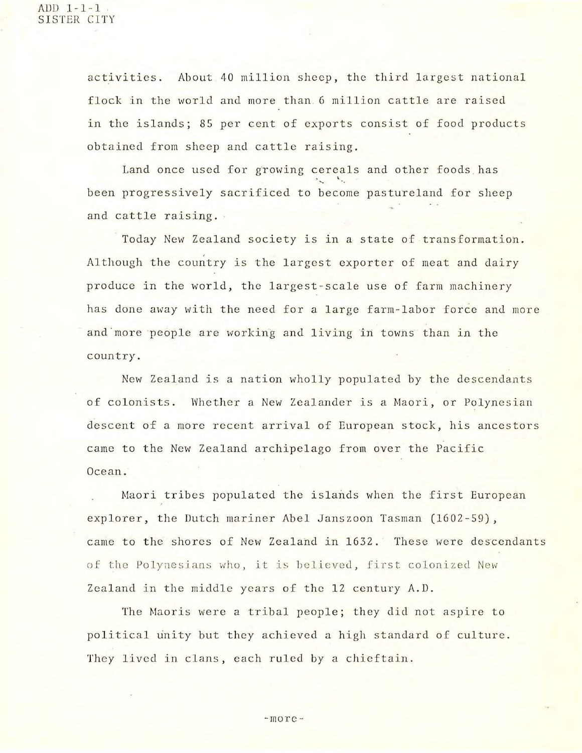activities. About 40 million sheep, the third largest national flock in the world and more than 6 million cattle are raised in the islands; 85 per cent of exports consist of food products obtained from sheep and cattle raising.

Land once used for growing cereals and other foods has been progressively sacrificed to become pastureland for sheep and cattle raising.

Today New Zealand society is in a state of transformation. Although the country is the largest exporter of meat and dairy produce in the world, the largest -scale use of farm machinery has done away with the need for a large farm-labor force and more and "more people are working and living in towns than in the country.

New Zealand is a nation wholly populated by the descendants of colonists. Whether a New Zealander is a Maori, or Polynesian descent of a more recent arrival of European stock, his ancestors came to the New Zealand archipelago from over the Pacific Ocean.

Maori tribes populated the islands when the first European explorer, the Dutch mariner Abel Janszoon Tasman (1602-59), came to the shores of New Zealand in 1632. These were descendants of the Polynesians who, it is believed, first colonized New Zealand in the middle years of the 12 century A.D.

The Maoris were a tribal people; they did not aspire to political unity but they achieved a high standard of culture. They lived in clans, each ruled by a chieftain.